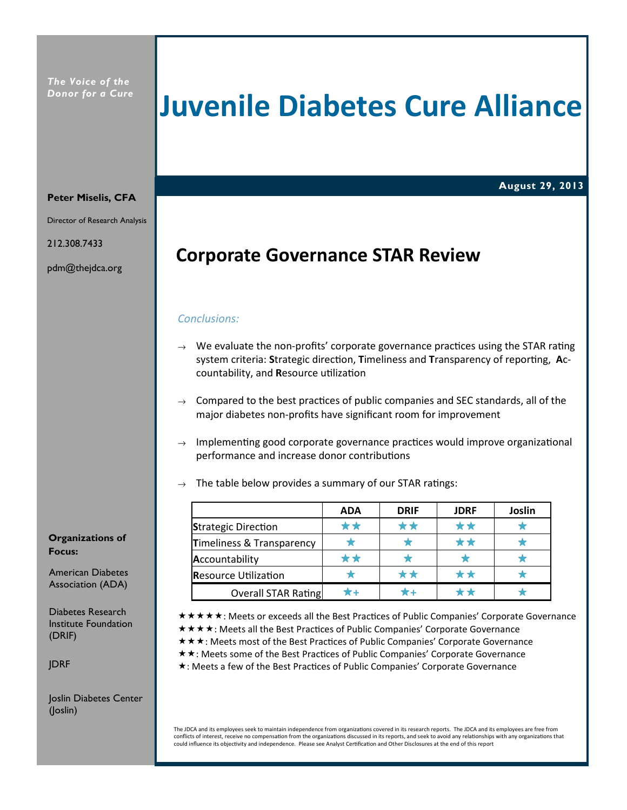## Juvenile Diabetes Cure Alliance

## August 29, 2013

#### Peter Miselis, CFA

Director of Research Analysis

212.308.7433

pdm@thejdca.org

## Corporate Governance STAR Review

#### Conclusions:

- $\rightarrow$  We evaluate the non-profits' corporate governance practices using the STAR rating system criteria: Strategic direction, Timeliness and Transparency of reporting, Accountability, and Resource utilization
- $\rightarrow$  Compared to the best practices of public companies and SEC standards, all of the major diabetes non-profits have significant room for improvement
- $\rightarrow$  Implementing good corporate governance practices would improve organizational performance and increase donor contributions
- $\rightarrow$  The table below provides a summary of our STAR ratings:

|                             | <b>ADA</b> | <b>DRIF</b> | <b>JDRF</b> | Joslin |
|-----------------------------|------------|-------------|-------------|--------|
| <b>Strategic Direction</b>  | * *        | **          | **          |        |
| Timeliness & Transparency   |            |             | * *         |        |
| Accountability              | **         |             |             |        |
| <b>Resource Utilization</b> |            | **          | **          |        |
| <b>Overall STAR Rating</b>  |            |             |             |        |

\* \* \* \* \* : Meets or exceeds all the Best Practices of Public Companies' Corporate Governance

- \* \* \* \* : Meets all the Best Practices of Public Companies' Corporate Governance
- \* \* \*: Meets most of the Best Practices of Public Companies' Corporate Governance
- ★ ★: Meets some of the Best Practices of Public Companies' Corporate Governance
- \*: Meets a few of the Best Practices of Public Companies' Corporate Governance

The JDCA and its employees seek to maintain independence from organizations covered in its research reports. The JDCA and its employees are free from conflicts of interest, receive no compensation from the organizations discussed in its reports, and seek to avoid any relationships with any organizations that could influence its objectivity and independence. Please see Analyst Certification and Other Disclosures at the end of this report

Organizations of Focus:

American Diabetes Association (ADA)

Diabetes Research Institute Foundation (DRIF)

JDRF

Joslin Diabetes Center (Joslin)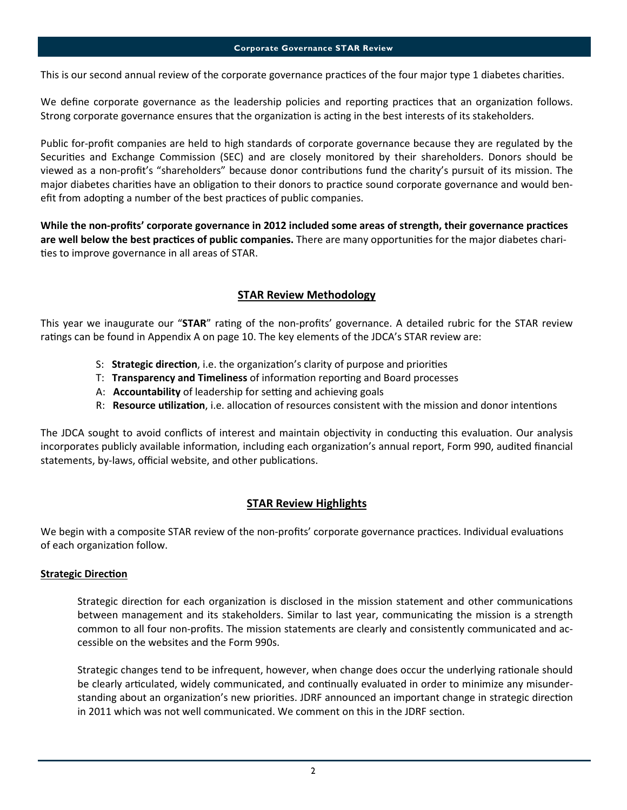This is our second annual review of the corporate governance practices of the four major type 1 diabetes charities.

We define corporate governance as the leadership policies and reporting practices that an organization follows. Strong corporate governance ensures that the organization is acting in the best interests of its stakeholders.

Public for-profit companies are held to high standards of corporate governance because they are regulated by the Securities and Exchange Commission (SEC) and are closely monitored by their shareholders. Donors should be viewed as a non-profit's "shareholders" because donor contributions fund the charity's pursuit of its mission. The major diabetes charities have an obligation to their donors to practice sound corporate governance and would benefit from adopting a number of the best practices of public companies.

While the non-profits' corporate governance in 2012 included some areas of strength, their governance practices are well below the best practices of public companies. There are many opportunities for the major diabetes charities to improve governance in all areas of STAR.

## STAR Review Methodology

This year we inaugurate our "STAR" rating of the non-profits' governance. A detailed rubric for the STAR review ratings can be found in Appendix A on page 10. The key elements of the JDCA's STAR review are:

- S: Strategic direction, i.e. the organization's clarity of purpose and priorities
- T: Transparency and Timeliness of information reporting and Board processes
- A: Accountability of leadership for setting and achieving goals
- R: Resource utilization, i.e. allocation of resources consistent with the mission and donor intentions

The JDCA sought to avoid conflicts of interest and maintain objectivity in conducting this evaluation. Our analysis incorporates publicly available information, including each organization's annual report, Form 990, audited financial statements, by-laws, official website, and other publications.

## **STAR Review Highlights**

We begin with a composite STAR review of the non-profits' corporate governance practices. Individual evaluations of each organization follow.

## **Strategic Direction**

Strategic direction for each organization is disclosed in the mission statement and other communications between management and its stakeholders. Similar to last year, communicating the mission is a strength common to all four non-profits. The mission statements are clearly and consistently communicated and accessible on the websites and the Form 990s.

Strategic changes tend to be infrequent, however, when change does occur the underlying rationale should be clearly articulated, widely communicated, and continually evaluated in order to minimize any misunderstanding about an organization's new priorities. JDRF announced an important change in strategic direction in 2011 which was not well communicated. We comment on this in the JDRF section.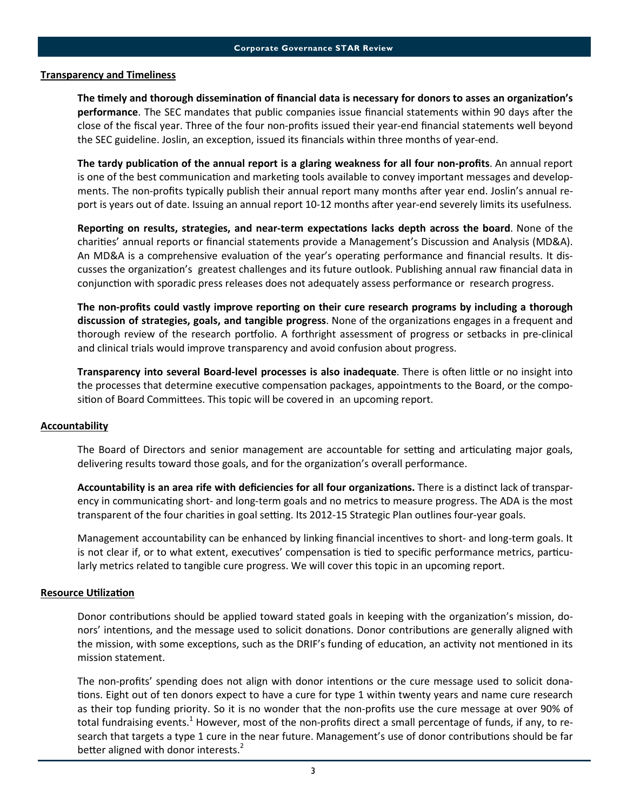#### Transparency and Timeliness

The timely and thorough dissemination of financial data is necessary for donors to asses an organization's performance. The SEC mandates that public companies issue financial statements within 90 days after the close of the fiscal year. Three of the four non-profits issued their year-end financial statements well beyond the SEC guideline. Joslin, an exception, issued its financials within three months of year-end.

The tardy publication of the annual report is a glaring weakness for all four non-profits. An annual report is one of the best communication and marketing tools available to convey important messages and developments. The non-profits typically publish their annual report many months after year end. Joslin's annual report is years out of date. Issuing an annual report 10-12 months after year-end severely limits its usefulness.

Reporting on results, strategies, and near-term expectations lacks depth across the board. None of the charities' annual reports or financial statements provide a Management's Discussion and Analysis (MD&A). An MD&A is a comprehensive evaluation of the year's operating performance and financial results. It discusses the organization's greatest challenges and its future outlook. Publishing annual raw financial data in conjunction with sporadic press releases does not adequately assess performance or research progress.

The non-profits could vastly improve reporting on their cure research programs by including a thorough discussion of strategies, goals, and tangible progress. None of the organizations engages in a frequent and thorough review of the research portfolio. A forthright assessment of progress or setbacks in pre-clinical and clinical trials would improve transparency and avoid confusion about progress.

Transparency into several Board-level processes is also inadequate. There is often little or no insight into the processes that determine executive compensation packages, appointments to the Board, or the composition of Board Committees. This topic will be covered in an upcoming report.

#### **Accountability**

The Board of Directors and senior management are accountable for setting and articulating major goals, delivering results toward those goals, and for the organization's overall performance.

Accountability is an area rife with deficiencies for all four organizations. There is a distinct lack of transparency in communicating short- and long-term goals and no metrics to measure progress. The ADA is the most transparent of the four charities in goal setting. Its 2012-15 Strategic Plan outlines four-year goals.

Management accountability can be enhanced by linking financial incentives to short- and long-term goals. It is not clear if, or to what extent, executives' compensation is tied to specific performance metrics, particularly metrics related to tangible cure progress. We will cover this topic in an upcoming report.

#### **Resource Utilization**

Donor contributions should be applied toward stated goals in keeping with the organization's mission, donors' intentions, and the message used to solicit donations. Donor contributions are generally aligned with the mission, with some exceptions, such as the DRIF's funding of education, an activity not mentioned in its mission statement.

The non-profits' spending does not align with donor intentions or the cure message used to solicit donations. Eight out of ten donors expect to have a cure for type 1 within twenty years and name cure research as their top funding priority. So it is no wonder that the non-profits use the cure message at over 90% of total fundraising events.<sup>1</sup> However, most of the non-profits direct a small percentage of funds, if any, to research that targets a type 1 cure in the near future. Management's use of donor contributions should be far better aligned with donor interests. $2$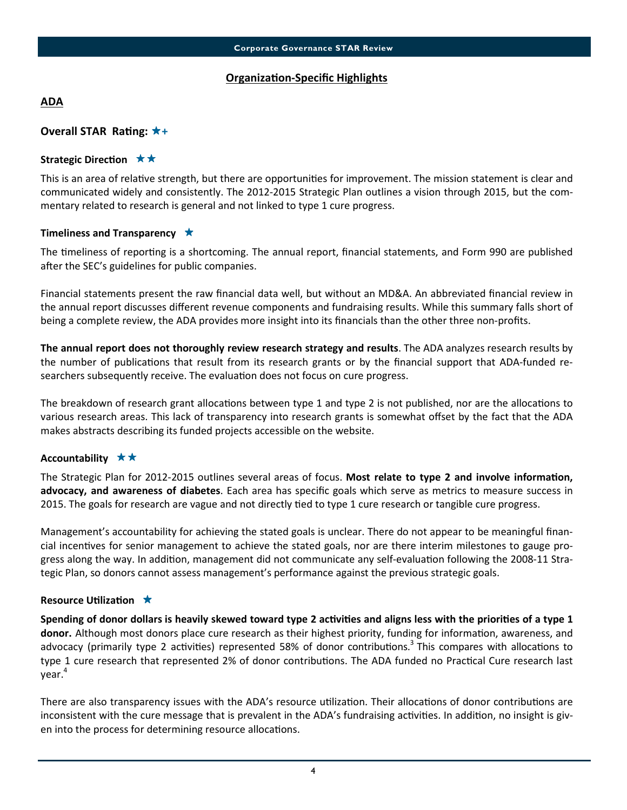## **Organization-Specific Highlights**

## ADA

## Overall STAR Rating:  $\star$ +

## Strategic Direction  $\star \star$

This is an area of relative strength, but there are opportunities for improvement. The mission statement is clear and communicated widely and consistently. The 2012-2015 Strategic Plan outlines a vision through 2015, but the commentary related to research is general and not linked to type 1 cure progress.

## Timeliness and Transparency  $\star$

The timeliness of reporting is a shortcoming. The annual report, financial statements, and Form 990 are published after the SEC's guidelines for public companies.

Financial statements present the raw financial data well, but without an MD&A. An abbreviated financial review in the annual report discusses different revenue components and fundraising results. While this summary falls short of being a complete review, the ADA provides more insight into its financials than the other three non-profits.

The annual report does not thoroughly review research strategy and results. The ADA analyzes research results by the number of publications that result from its research grants or by the financial support that ADA-funded researchers subsequently receive. The evaluation does not focus on cure progress.

The breakdown of research grant allocations between type 1 and type 2 is not published, nor are the allocations to various research areas. This lack of transparency into research grants is somewhat offset by the fact that the ADA makes abstracts describing its funded projects accessible on the website.

## Accountability  $\star \star$

The Strategic Plan for 2012-2015 outlines several areas of focus. Most relate to type 2 and involve information, advocacy, and awareness of diabetes. Each area has specific goals which serve as metrics to measure success in 2015. The goals for research are vague and not directly tied to type 1 cure research or tangible cure progress.

Management's accountability for achieving the stated goals is unclear. There do not appear to be meaningful financial incentives for senior management to achieve the stated goals, nor are there interim milestones to gauge progress along the way. In addition, management did not communicate any self-evaluation following the 2008-11 Strategic Plan, so donors cannot assess management's performance against the previous strategic goals.

#### Resource Utilization  $\star$

Spending of donor dollars is heavily skewed toward type 2 activities and aligns less with the priorities of a type 1 donor. Although most donors place cure research as their highest priority, funding for information, awareness, and advocacy (primarily type 2 activities) represented 58% of donor contributions.<sup>3</sup> This compares with allocations to type 1 cure research that represented 2% of donor contributions. The ADA funded no Practical Cure research last year.<sup>4</sup>

There are also transparency issues with the ADA's resource utilization. Their allocations of donor contributions are inconsistent with the cure message that is prevalent in the ADA's fundraising activities. In addition, no insight is given into the process for determining resource allocations.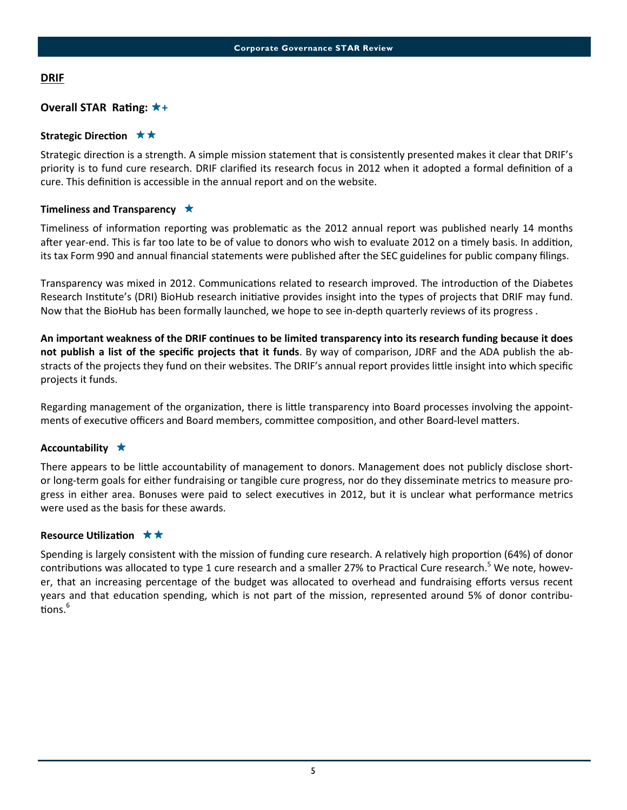## **DRIF**

## Overall STAR Rating:  $\star$ +

## Strategic Direction  $\star \star$

Strategic direction is a strength. A simple mission statement that is consistently presented makes it clear that DRIF's priority is to fund cure research. DRIF clarified its research focus in 2012 when it adopted a formal definion of a cure. This definition is accessible in the annual report and on the website.

## Timeliness and Transparency  $\star$

Timeliness of information reporting was problematic as the 2012 annual report was published nearly 14 months after year-end. This is far too late to be of value to donors who wish to evaluate 2012 on a timely basis. In addition, its tax Form 990 and annual financial statements were published after the SEC guidelines for public company filings.

Transparency was mixed in 2012. Communications related to research improved. The introduction of the Diabetes Research Institute's (DRI) BioHub research initiative provides insight into the types of projects that DRIF may fund. Now that the BioHub has been formally launched, we hope to see in-depth quarterly reviews of its progress .

An important weakness of the DRIF continues to be limited transparency into its research funding because it does not publish a list of the specific projects that it funds. By way of comparison, JDRF and the ADA publish the abstracts of the projects they fund on their websites. The DRIF's annual report provides little insight into which specific projects it funds.

Regarding management of the organization, there is little transparency into Board processes involving the appointments of executive officers and Board members, committee composition, and other Board-level matters.

## Accountability  $\star$

There appears to be little accountability of management to donors. Management does not publicly disclose shortor long-term goals for either fundraising or tangible cure progress, nor do they disseminate metrics to measure progress in either area. Bonuses were paid to select executives in 2012, but it is unclear what performance metrics were used as the basis for these awards.

## Resource Utilization  $\star \star$

Spending is largely consistent with the mission of funding cure research. A relatively high proportion (64%) of donor contributions was allocated to type 1 cure research and a smaller 27% to Practical Cure research.<sup>5</sup> We note, however, that an increasing percentage of the budget was allocated to overhead and fundraising efforts versus recent years and that education spending, which is not part of the mission, represented around 5% of donor contributions. $^6$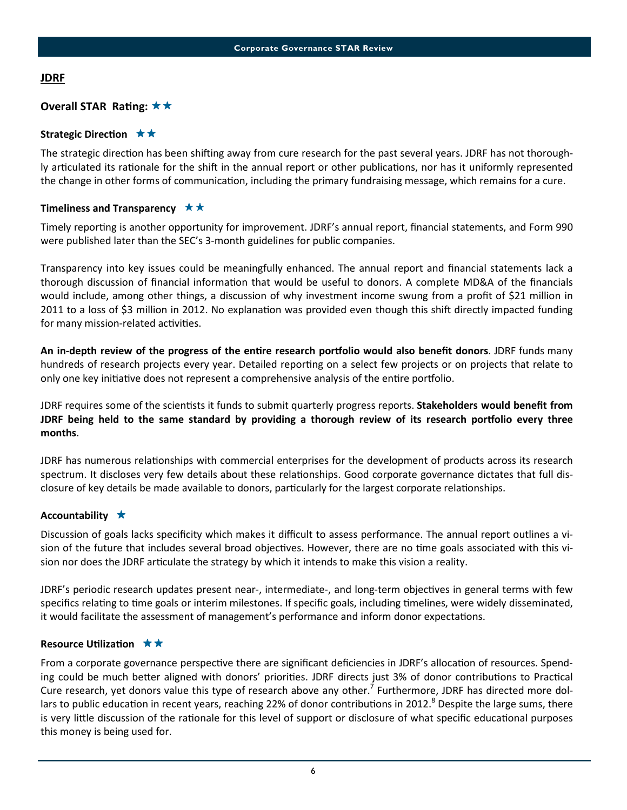## JDRF

## Overall STAR Rating:  $\star \star$

## Strategic Direction  $\star \star$

The strategic direction has been shifting away from cure research for the past several years. JDRF has not thoroughly articulated its rationale for the shift in the annual report or other publications, nor has it uniformly represented the change in other forms of communication, including the primary fundraising message, which remains for a cure.

## Timeliness and Transparency  $\star \star$

Timely reporting is another opportunity for improvement. JDRF's annual report, financial statements, and Form 990 were published later than the SEC's 3-month guidelines for public companies.

Transparency into key issues could be meaningfully enhanced. The annual report and financial statements lack a thorough discussion of financial information that would be useful to donors. A complete MD&A of the financials would include, among other things, a discussion of why investment income swung from a profit of \$21 million in 2011 to a loss of \$3 million in 2012. No explanation was provided even though this shift directly impacted funding for many mission-related activities.

An in-depth review of the progress of the entire research portfolio would also benefit donors. JDRF funds many hundreds of research projects every year. Detailed reporting on a select few projects or on projects that relate to only one key initiative does not represent a comprehensive analysis of the entire portfolio.

JDRF requires some of the scientists it funds to submit quarterly progress reports. **Stakeholders would benefit from** JDRF being held to the same standard by providing a thorough review of its research portfolio every three months.

JDRF has numerous relationships with commercial enterprises for the development of products across its research spectrum. It discloses very few details about these relationships. Good corporate governance dictates that full disclosure of key details be made available to donors, particularly for the largest corporate relationships.

## Accountability  $\star$

Discussion of goals lacks specificity which makes it difficult to assess performance. The annual report outlines a vision of the future that includes several broad objectives. However, there are no time goals associated with this vision nor does the JDRF articulate the strategy by which it intends to make this vision a reality.

JDRF's periodic research updates present near-, intermediate-, and long-term objectives in general terms with few specifics relating to time goals or interim milestones. If specific goals, including timelines, were widely disseminated, it would facilitate the assessment of management's performance and inform donor expectations.

## Resource Utilization  $\star \star$

From a corporate governance perspective there are significant deficiencies in JDRF's allocation of resources. Spending could be much better aligned with donors' priorities. JDRF directs just 3% of donor contributions to Practical Cure research, yet donors value this type of research above any other.<sup>7</sup> Furthermore, JDRF has directed more dollars to public education in recent years, reaching 22% of donor contributions in 2012.<sup>8</sup> Despite the large sums, there is very little discussion of the rationale for this level of support or disclosure of what specific educational purposes this money is being used for.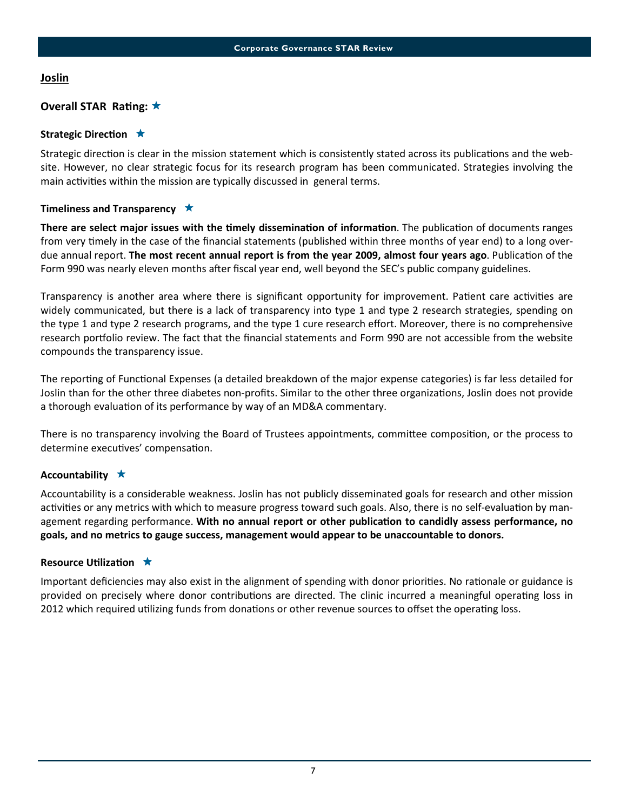## **Joslin**

## Overall STAR Rating:  $\star$

## Strategic Direction  $\star$

Strategic direction is clear in the mission statement which is consistently stated across its publications and the website. However, no clear strategic focus for its research program has been communicated. Strategies involving the main activities within the mission are typically discussed in general terms.

## Timeliness and Transparency  $\star$

There are select major issues with the timely dissemination of information. The publication of documents ranges from very timely in the case of the financial statements (published within three months of year end) to a long overdue annual report. The most recent annual report is from the year 2009, almost four years ago. Publication of the Form 990 was nearly eleven months after fiscal year end, well beyond the SEC's public company guidelines.

Transparency is another area where there is significant opportunity for improvement. Patient care activities are widely communicated, but there is a lack of transparency into type 1 and type 2 research strategies, spending on the type 1 and type 2 research programs, and the type 1 cure research effort. Moreover, there is no comprehensive research portfolio review. The fact that the financial statements and Form 990 are not accessible from the website compounds the transparency issue.

The reporting of Functional Expenses (a detailed breakdown of the major expense categories) is far less detailed for Joslin than for the other three diabetes non-profits. Similar to the other three organizations, Joslin does not provide a thorough evaluation of its performance by way of an MD&A commentary.

There is no transparency involving the Board of Trustees appointments, committee composition, or the process to determine executives' compensation.

## Accountability  $\star$

Accountability is a considerable weakness. Joslin has not publicly disseminated goals for research and other mission activities or any metrics with which to measure progress toward such goals. Also, there is no self-evaluation by management regarding performance. With no annual report or other publication to candidly assess performance, no goals, and no metrics to gauge success, management would appear to be unaccountable to donors.

## Resource Utilization  $\star$

Important deficiencies may also exist in the alignment of spending with donor priorities. No rationale or guidance is provided on precisely where donor contributions are directed. The clinic incurred a meaningful operating loss in 2012 which required utilizing funds from donations or other revenue sources to offset the operating loss.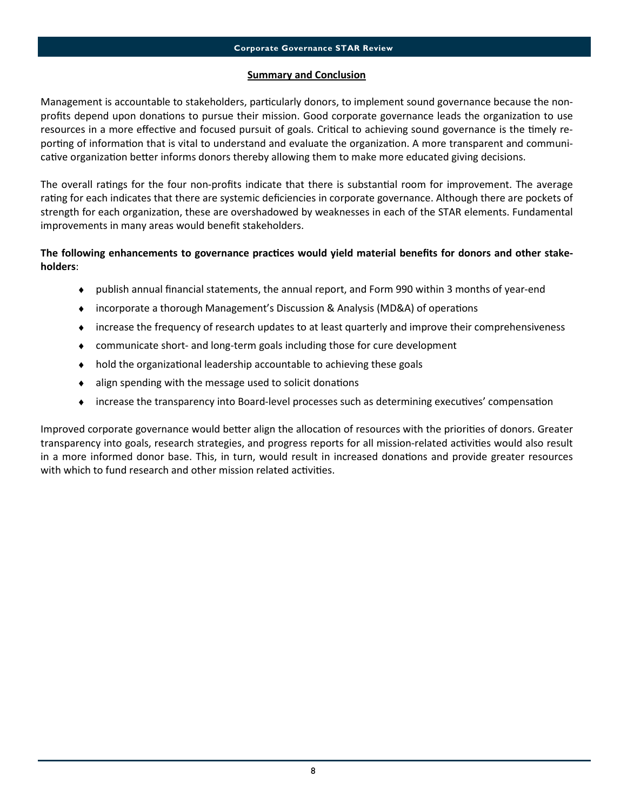## Summary and Conclusion

Management is accountable to stakeholders, particularly donors, to implement sound governance because the nonprofits depend upon donations to pursue their mission. Good corporate governance leads the organization to use resources in a more effective and focused pursuit of goals. Critical to achieving sound governance is the timely reporting of information that is vital to understand and evaluate the organization. A more transparent and communicative organization better informs donors thereby allowing them to make more educated giving decisions.

The overall ratings for the four non-profits indicate that there is substantial room for improvement. The average rating for each indicates that there are systemic deficiencies in corporate governance. Although there are pockets of strength for each organization, these are overshadowed by weaknesses in each of the STAR elements. Fundamental improvements in many areas would benefit stakeholders.

## The following enhancements to governance practices would yield material benefits for donors and other stakeholders:

- ♦ publish annual financial statements, the annual report, and Form 990 within 3 months of year-end
- incorporate a thorough Management's Discussion & Analysis (MD&A) of operations
- ♦ increase the frequency of research updates to at least quarterly and improve their comprehensiveness
- ♦ communicate short- and long-term goals including those for cure development
- $\bullet$  hold the organizational leadership accountable to achieving these goals
- $\bullet$  align spending with the message used to solicit donations
- $\bullet$  increase the transparency into Board-level processes such as determining executives' compensation

Improved corporate governance would better align the allocation of resources with the priorities of donors. Greater transparency into goals, research strategies, and progress reports for all mission-related activities would also result in a more informed donor base. This, in turn, would result in increased donations and provide greater resources with which to fund research and other mission related activities.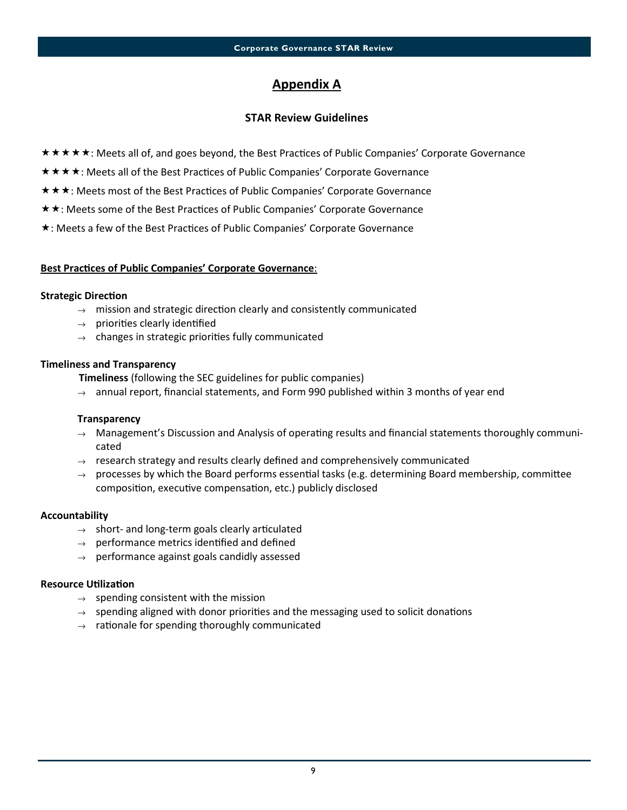## Appendix A

## STAR Review Guidelines

- \* \* \* \* \* : Meets all of, and goes beyond, the Best Practices of Public Companies' Corporate Governance
- \* \* \* \*: Meets all of the Best Practices of Public Companies' Corporate Governance
- \* \* \*: Meets most of the Best Practices of Public Companies' Corporate Governance
- **★ ★: Meets some of the Best Practices of Public Companies' Corporate Governance**
- \*: Meets a few of the Best Practices of Public Companies' Corporate Governance

## Best Practices of Public Companies' Corporate Governance:

#### **Strategic Direction**

- $\rightarrow$  mission and strategic direction clearly and consistently communicated
- $\rightarrow$  priorities clearly identified
- $\rightarrow$  changes in strategic priorities fully communicated

#### Timeliness and Transparency

Timeliness (following the SEC guidelines for public companies)

 $\rightarrow$  annual report, financial statements, and Form 990 published within 3 months of year end

## **Transparency**

- $\rightarrow$  Management's Discussion and Analysis of operating results and financial statements thoroughly communicated
- $\rightarrow$  research strategy and results clearly defined and comprehensively communicated
- $\rightarrow$  processes by which the Board performs essential tasks (e.g. determining Board membership, committee composition, executive compensation, etc.) publicly disclosed

## Accountability

- $\rightarrow$  short- and long-term goals clearly articulated
- $\rightarrow$  performance metrics identified and defined
- $\rightarrow$  performance against goals candidly assessed

## **Resource Utilization**

- $\rightarrow$  spending consistent with the mission
- $\rightarrow$  spending aligned with donor priorities and the messaging used to solicit donations
- $\rightarrow$  rationale for spending thoroughly communicated